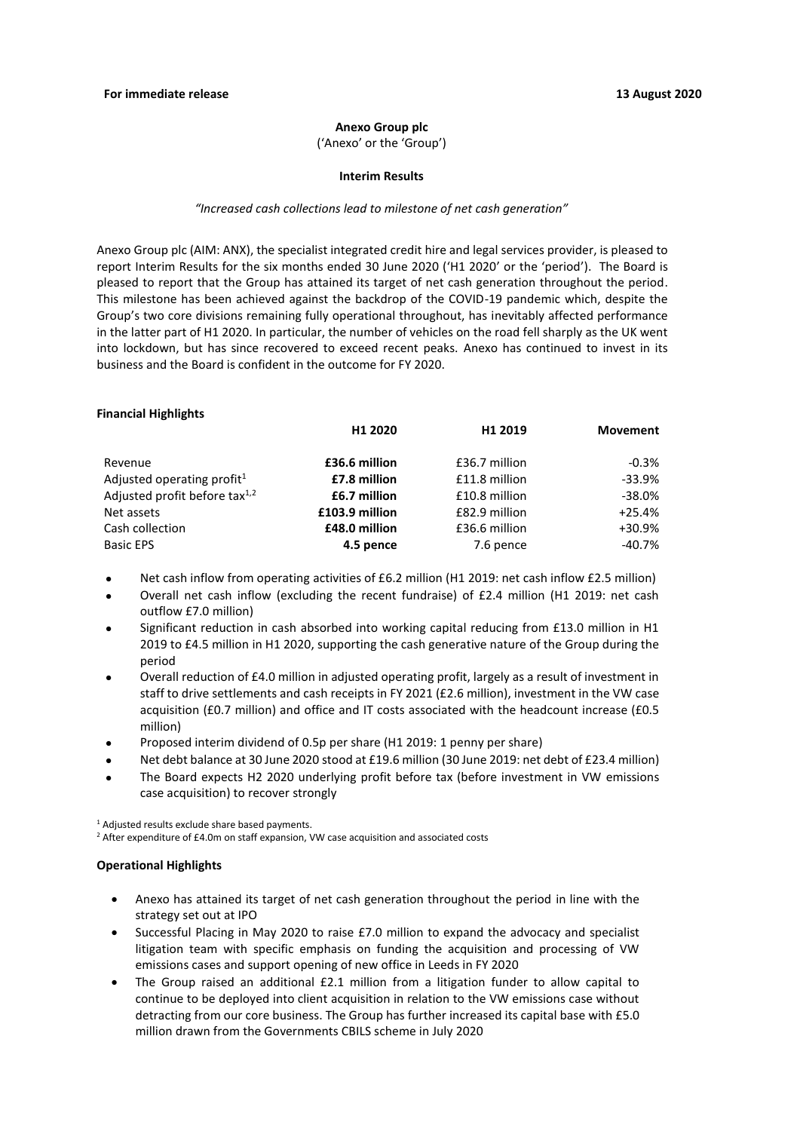#### **Anexo Group plc**

('Anexo' or the 'Group')

#### **Interim Results**

#### *"Increased cash collections lead to milestone of net cash generation"*

Anexo Group plc (AIM: ANX), the specialist integrated credit hire and legal services provider, is pleased to report Interim Results for the six months ended 30 June 2020 ('H1 2020' or the 'period'). The Board is pleased to report that the Group has attained its target of net cash generation throughout the period. This milestone has been achieved against the backdrop of the COVID-19 pandemic which, despite the Group's two core divisions remaining fully operational throughout, has inevitably affected performance in the latter part of H1 2020. In particular, the number of vehicles on the road fell sharply as the UK went into lockdown, but has since recovered to exceed recent peaks. Anexo has continued to invest in its business and the Board is confident in the outcome for FY 2020.

#### **Financial Highlights**

| H1 2020        | H1 2019       | Movement      |
|----------------|---------------|---------------|
|                |               |               |
|                |               | $-0.3%$       |
| £7.8 million   | £11.8 million | $-33.9%$      |
| £6.7 million   | £10.8 million | -38.0%        |
| £103.9 million | £82.9 million | $+25.4%$      |
| £48.0 million  | £36.6 million | +30.9%        |
| 4.5 pence      | 7.6 pence     | $-40.7\%$     |
|                | £36.6 million | £36.7 million |

- Net cash inflow from operating activities of £6.2 million (H1 2019: net cash inflow £2.5 million)
- Overall net cash inflow (excluding the recent fundraise) of £2.4 million (H1 2019: net cash outflow £7.0 million)
- Significant reduction in cash absorbed into working capital reducing from £13.0 million in H1 2019 to £4.5 million in H1 2020, supporting the cash generative nature of the Group during the period
- Overall reduction of £4.0 million in adjusted operating profit, largely as a result of investment in staff to drive settlements and cash receipts in FY 2021 (£2.6 million), investment in the VW case acquisition (£0.7 million) and office and IT costs associated with the headcount increase (£0.5 million)
- Proposed interim dividend of 0.5p per share (H1 2019: 1 penny per share)
- Net debt balance at 30 June 2020 stood at £19.6 million (30 June 2019: net debt of £23.4 million)
- The Board expects H2 2020 underlying profit before tax (before investment in VW emissions case acquisition) to recover strongly

<sup>1</sup> Adjusted results exclude share based payments.

<sup>2</sup> After expenditure of £4.0m on staff expansion, VW case acquisition and associated costs

## **Operational Highlights**

- Anexo has attained its target of net cash generation throughout the period in line with the strategy set out at IPO
- Successful Placing in May 2020 to raise £7.0 million to expand the advocacy and specialist litigation team with specific emphasis on funding the acquisition and processing of VW emissions cases and support opening of new office in Leeds in FY 2020
- The Group raised an additional £2.1 million from a litigation funder to allow capital to continue to be deployed into client acquisition in relation to the VW emissions case without detracting from our core business. The Group has further increased its capital base with £5.0 million drawn from the Governments CBILS scheme in July 2020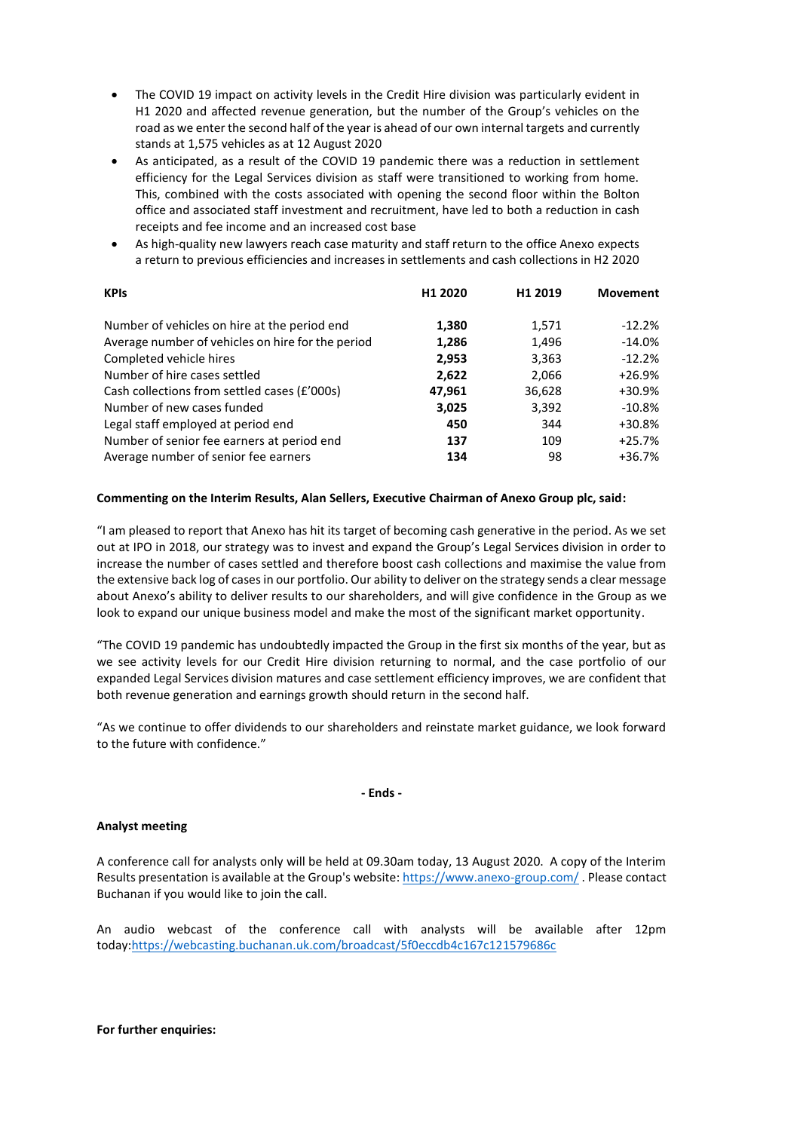- The COVID 19 impact on activity levels in the Credit Hire division was particularly evident in H1 2020 and affected revenue generation, but the number of the Group's vehicles on the road as we enter the second half of the year is ahead of our own internal targets and currently stands at 1,575 vehicles as at 12 August 2020
- As anticipated, as a result of the COVID 19 pandemic there was a reduction in settlement efficiency for the Legal Services division as staff were transitioned to working from home. This, combined with the costs associated with opening the second floor within the Bolton office and associated staff investment and recruitment, have led to both a reduction in cash receipts and fee income and an increased cost base
- As high-quality new lawyers reach case maturity and staff return to the office Anexo expects a return to previous efficiencies and increases in settlements and cash collections in H2 2020

| <b>KPIs</b>                                       | H1 2020 | H1 2019 | <b>Movement</b> |
|---------------------------------------------------|---------|---------|-----------------|
| Number of vehicles on hire at the period end      | 1,380   | 1,571   | $-12.2%$        |
| Average number of vehicles on hire for the period | 1,286   | 1,496   | $-14.0%$        |
| Completed vehicle hires                           | 2,953   | 3,363   | $-12.2%$        |
| Number of hire cases settled                      | 2,622   | 2,066   | $+26.9%$        |
| Cash collections from settled cases (£'000s)      | 47,961  | 36,628  | +30.9%          |
| Number of new cases funded                        | 3,025   | 3,392   | $-10.8%$        |
| Legal staff employed at period end                | 450     | 344     | +30.8%          |
| Number of senior fee earners at period end        | 137     | 109     | $+25.7%$        |
| Average number of senior fee earners              | 134     | 98      | $+36.7%$        |

## **Commenting on the Interim Results, Alan Sellers, Executive Chairman of Anexo Group plc, said:**

"I am pleased to report that Anexo has hit its target of becoming cash generative in the period. As we set out at IPO in 2018, our strategy was to invest and expand the Group's Legal Services division in order to increase the number of cases settled and therefore boost cash collections and maximise the value from the extensive back log of cases in our portfolio. Our ability to deliver on the strategy sends a clear message about Anexo's ability to deliver results to our shareholders, and will give confidence in the Group as we look to expand our unique business model and make the most of the significant market opportunity.

"The COVID 19 pandemic has undoubtedly impacted the Group in the first six months of the year, but as we see activity levels for our Credit Hire division returning to normal, and the case portfolio of our expanded Legal Services division matures and case settlement efficiency improves, we are confident that both revenue generation and earnings growth should return in the second half.

"As we continue to offer dividends to our shareholders and reinstate market guidance, we look forward to the future with confidence."

**- Ends -**

## **Analyst meeting**

A conference call for analysts only will be held at 09.30am today, 13 August 2020. A copy of the Interim Results presentation is available at the Group's website:<https://www.anexo-group.com/> . Please contact Buchanan if you would like to join the call.

An audio webcast of the conference call with analysts will be available after 12pm today[:https://webcasting.buchanan.uk.com/broadcast/5f0eccdb4c167c121579686c](https://webcasting.buchanan.uk.com/broadcast/5f0eccdb4c167c121579686c)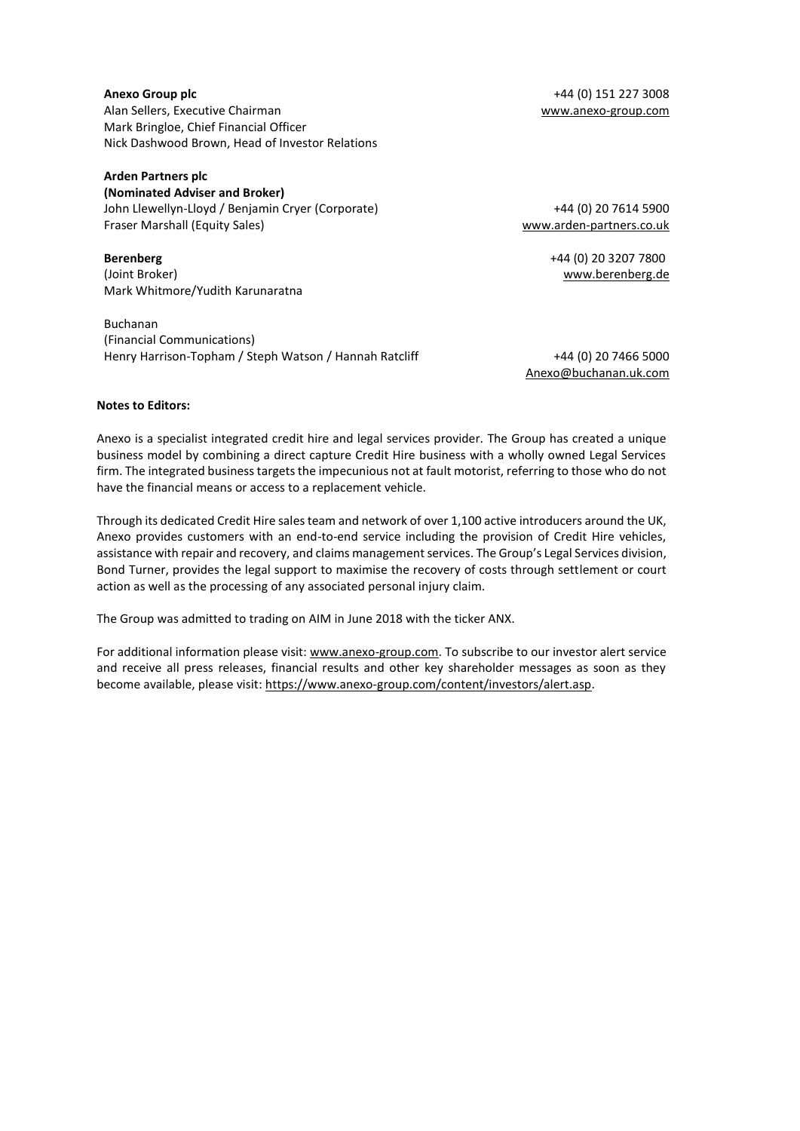## **Anexo Group plc** +44 (0) 151 227 3008 Alan Sellers, Executive Chairman [www.anexo-group.com](http://www.anexo-group.com/) Mark Bringloe, Chief Financial Officer Nick Dashwood Brown, Head of Investor Relations

## **Arden Partners plc**

**(Nominated Adviser and Broker)** John Llewellyn-Lloyd / Benjamin Cryer (Corporate) Fraser Marshall (Equity Sales)

**Berenberg**  (Joint Broker) Mark Whitmore/Yudith Karunaratna

Buchanan (Financial Communications) Henry Harrison-Topham / Steph Watson / Hannah Ratcliff +44 (0) 20 7466 5000

+44 (0) 20 7614 5900 [www.arden-partners.co.uk](http://www.arden-partners.co.uk/)

> +44 (0) 20 3207 7800 www.berenberg.de

[Anexo@buchanan.uk.com](mailto:Anexo@buchanan.uk.com)

#### **Notes to Editors:**

Anexo is a specialist integrated credit hire and legal services provider. The Group has created a unique business model by combining a direct capture Credit Hire business with a wholly owned Legal Services firm. The integrated business targets the impecunious not at fault motorist, referring to those who do not have the financial means or access to a replacement vehicle.

Through its dedicated Credit Hire sales team and network of over 1,100 active introducers around the UK, Anexo provides customers with an end-to-end service including the provision of Credit Hire vehicles, assistance with repair and recovery, and claims management services. The Group's Legal Services division, Bond Turner, provides the legal support to maximise the recovery of costs through settlement or court action as well as the processing of any associated personal injury claim.

The Group was admitted to trading on AIM in June 2018 with the ticker ANX.

For additional information please visit[: www.anexo-group.com.](http://www.anexo-group.com/) To subscribe to our investor alert service and receive all press releases, financial results and other key shareholder messages as soon as they become available, please visit[: https://www.anexo-group.com/content/investors/alert.asp.](https://www.anexo-group.com/content/investors/alert.asp)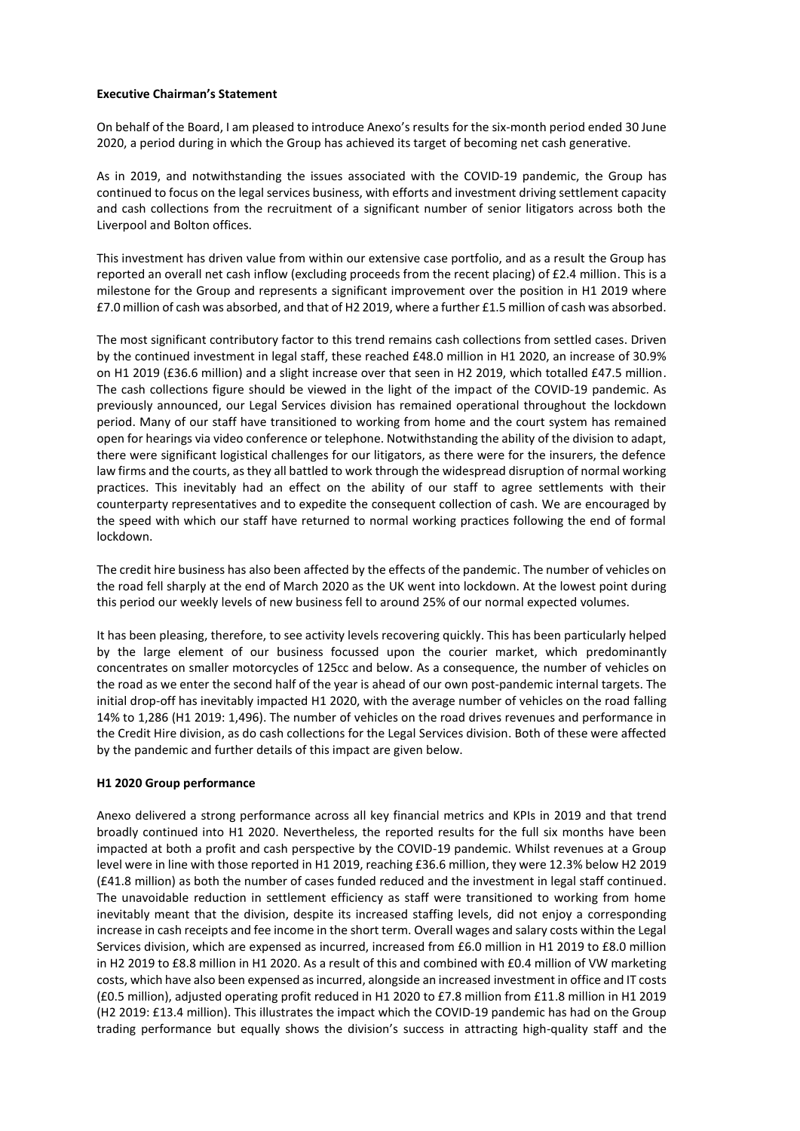### **Executive Chairman's Statement**

On behalf of the Board, I am pleased to introduce Anexo's results for the six-month period ended 30 June 2020, a period during in which the Group has achieved its target of becoming net cash generative.

As in 2019, and notwithstanding the issues associated with the COVID-19 pandemic, the Group has continued to focus on the legal services business, with efforts and investment driving settlement capacity and cash collections from the recruitment of a significant number of senior litigators across both the Liverpool and Bolton offices.

This investment has driven value from within our extensive case portfolio, and as a result the Group has reported an overall net cash inflow (excluding proceeds from the recent placing) of £2.4 million. This is a milestone for the Group and represents a significant improvement over the position in H1 2019 where £7.0 million of cash was absorbed, and that of H2 2019, where a further £1.5 million of cash was absorbed.

The most significant contributory factor to this trend remains cash collections from settled cases. Driven by the continued investment in legal staff, these reached £48.0 million in H1 2020, an increase of 30.9% on H1 2019 (£36.6 million) and a slight increase over that seen in H2 2019, which totalled £47.5 million. The cash collections figure should be viewed in the light of the impact of the COVID-19 pandemic. As previously announced, our Legal Services division has remained operational throughout the lockdown period. Many of our staff have transitioned to working from home and the court system has remained open for hearings via video conference or telephone. Notwithstanding the ability of the division to adapt, there were significant logistical challenges for our litigators, as there were for the insurers, the defence law firms and the courts, as they all battled to work through the widespread disruption of normal working practices. This inevitably had an effect on the ability of our staff to agree settlements with their counterparty representatives and to expedite the consequent collection of cash. We are encouraged by the speed with which our staff have returned to normal working practices following the end of formal lockdown.

The credit hire business has also been affected by the effects of the pandemic. The number of vehicles on the road fell sharply at the end of March 2020 as the UK went into lockdown. At the lowest point during this period our weekly levels of new business fell to around 25% of our normal expected volumes.

It has been pleasing, therefore, to see activity levels recovering quickly. This has been particularly helped by the large element of our business focussed upon the courier market, which predominantly concentrates on smaller motorcycles of 125cc and below. As a consequence, the number of vehicles on the road as we enter the second half of the year is ahead of our own post-pandemic internal targets. The initial drop-off has inevitably impacted H1 2020, with the average number of vehicles on the road falling 14% to 1,286 (H1 2019: 1,496). The number of vehicles on the road drives revenues and performance in the Credit Hire division, as do cash collections for the Legal Services division. Both of these were affected by the pandemic and further details of this impact are given below.

## **H1 2020 Group performance**

Anexo delivered a strong performance across all key financial metrics and KPIs in 2019 and that trend broadly continued into H1 2020. Nevertheless, the reported results for the full six months have been impacted at both a profit and cash perspective by the COVID-19 pandemic. Whilst revenues at a Group level were in line with those reported in H1 2019, reaching £36.6 million, they were 12.3% below H2 2019 (£41.8 million) as both the number of cases funded reduced and the investment in legal staff continued. The unavoidable reduction in settlement efficiency as staff were transitioned to working from home inevitably meant that the division, despite its increased staffing levels, did not enjoy a corresponding increase in cash receipts and fee income in the short term. Overall wages and salary costs within the Legal Services division, which are expensed as incurred, increased from £6.0 million in H1 2019 to £8.0 million in H2 2019 to £8.8 million in H1 2020. As a result of this and combined with £0.4 million of VW marketing costs, which have also been expensed as incurred, alongside an increased investment in office and IT costs (£0.5 million), adjusted operating profit reduced in H1 2020 to £7.8 million from £11.8 million in H1 2019 (H2 2019: £13.4 million). This illustrates the impact which the COVID-19 pandemic has had on the Group trading performance but equally shows the division's success in attracting high-quality staff and the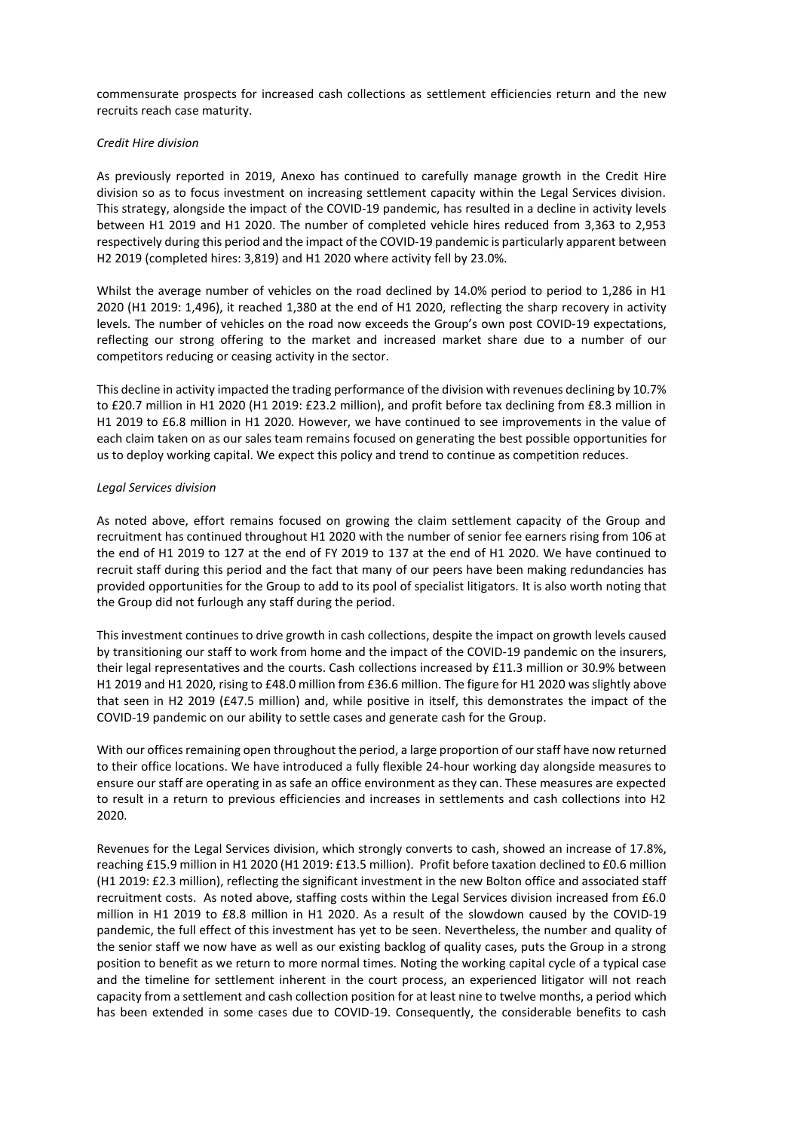commensurate prospects for increased cash collections as settlement efficiencies return and the new recruits reach case maturity.

#### *Credit Hire division*

As previously reported in 2019, Anexo has continued to carefully manage growth in the Credit Hire division so as to focus investment on increasing settlement capacity within the Legal Services division. This strategy, alongside the impact of the COVID-19 pandemic, has resulted in a decline in activity levels between H1 2019 and H1 2020. The number of completed vehicle hires reduced from 3,363 to 2,953 respectively during this period and the impact of the COVID-19 pandemic is particularly apparent between H2 2019 (completed hires: 3,819) and H1 2020 where activity fell by 23.0%.

Whilst the average number of vehicles on the road declined by 14.0% period to period to 1,286 in H1 2020 (H1 2019: 1,496), it reached 1,380 at the end of H1 2020, reflecting the sharp recovery in activity levels. The number of vehicles on the road now exceeds the Group's own post COVID-19 expectations, reflecting our strong offering to the market and increased market share due to a number of our competitors reducing or ceasing activity in the sector.

This decline in activity impacted the trading performance of the division with revenues declining by 10.7% to £20.7 million in H1 2020 (H1 2019: £23.2 million), and profit before tax declining from £8.3 million in H1 2019 to £6.8 million in H1 2020. However, we have continued to see improvements in the value of each claim taken on as our sales team remains focused on generating the best possible opportunities for us to deploy working capital. We expect this policy and trend to continue as competition reduces.

#### *Legal Services division*

As noted above, effort remains focused on growing the claim settlement capacity of the Group and recruitment has continued throughout H1 2020 with the number of senior fee earners rising from 106 at the end of H1 2019 to 127 at the end of FY 2019 to 137 at the end of H1 2020. We have continued to recruit staff during this period and the fact that many of our peers have been making redundancies has provided opportunities for the Group to add to its pool of specialist litigators. It is also worth noting that the Group did not furlough any staff during the period.

This investment continues to drive growth in cash collections, despite the impact on growth levels caused by transitioning our staff to work from home and the impact of the COVID-19 pandemic on the insurers, their legal representatives and the courts. Cash collections increased by £11.3 million or 30.9% between H1 2019 and H1 2020, rising to £48.0 million from £36.6 million. The figure for H1 2020 was slightly above that seen in H2 2019 (£47.5 million) and, while positive in itself, this demonstrates the impact of the COVID-19 pandemic on our ability to settle cases and generate cash for the Group.

With our offices remaining open throughout the period, a large proportion of our staff have now returned to their office locations. We have introduced a fully flexible 24-hour working day alongside measures to ensure our staff are operating in as safe an office environment as they can. These measures are expected to result in a return to previous efficiencies and increases in settlements and cash collections into H2 2020.

Revenues for the Legal Services division, which strongly converts to cash, showed an increase of 17.8%, reaching £15.9 million in H1 2020 (H1 2019: £13.5 million). Profit before taxation declined to £0.6 million (H1 2019: £2.3 million), reflecting the significant investment in the new Bolton office and associated staff recruitment costs. As noted above, staffing costs within the Legal Services division increased from £6.0 million in H1 2019 to £8.8 million in H1 2020. As a result of the slowdown caused by the COVID-19 pandemic, the full effect of this investment has yet to be seen. Nevertheless, the number and quality of the senior staff we now have as well as our existing backlog of quality cases, puts the Group in a strong position to benefit as we return to more normal times. Noting the working capital cycle of a typical case and the timeline for settlement inherent in the court process, an experienced litigator will not reach capacity from a settlement and cash collection position for at least nine to twelve months, a period which has been extended in some cases due to COVID-19. Consequently, the considerable benefits to cash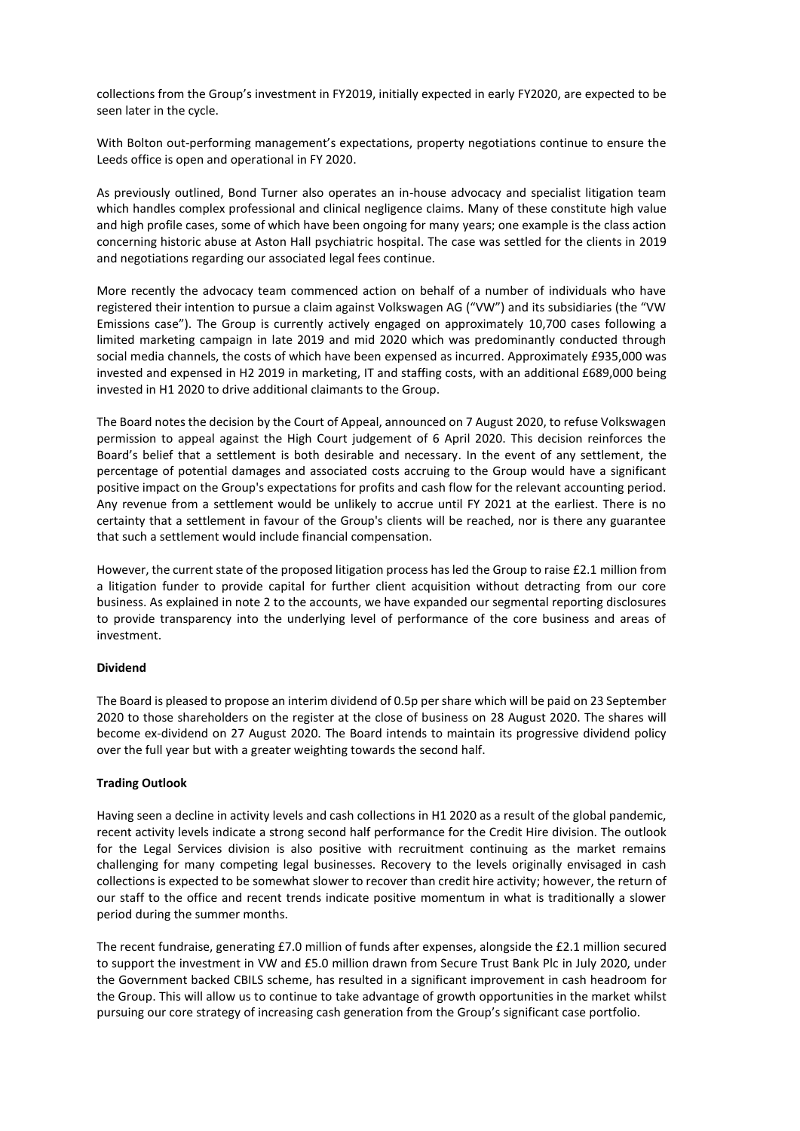collections from the Group's investment in FY2019, initially expected in early FY2020, are expected to be seen later in the cycle.

With Bolton out-performing management's expectations, property negotiations continue to ensure the Leeds office is open and operational in FY 2020.

As previously outlined, Bond Turner also operates an in-house advocacy and specialist litigation team which handles complex professional and clinical negligence claims. Many of these constitute high value and high profile cases, some of which have been ongoing for many years; one example is the class action concerning historic abuse at Aston Hall psychiatric hospital. The case was settled for the clients in 2019 and negotiations regarding our associated legal fees continue.

More recently the advocacy team commenced action on behalf of a number of individuals who have registered their intention to pursue a claim against Volkswagen AG ("VW") and its subsidiaries (the "VW Emissions case"). The Group is currently actively engaged on approximately 10,700 cases following a limited marketing campaign in late 2019 and mid 2020 which was predominantly conducted through social media channels, the costs of which have been expensed as incurred. Approximately £935,000 was invested and expensed in H2 2019 in marketing, IT and staffing costs, with an additional £689,000 being invested in H1 2020 to drive additional claimants to the Group.

The Board notes the decision by the Court of Appeal, announced on 7 August 2020, to refuse Volkswagen permission to appeal against the High Court judgement of 6 April 2020. This decision reinforces the Board's belief that a settlement is both desirable and necessary. In the event of any settlement, the percentage of potential damages and associated costs accruing to the Group would have a significant positive impact on the Group's expectations for profits and cash flow for the relevant accounting period. Any revenue from a settlement would be unlikely to accrue until FY 2021 at the earliest. There is no certainty that a settlement in favour of the Group's clients will be reached, nor is there any guarantee that such a settlement would include financial compensation.

However, the current state of the proposed litigation process has led the Group to raise £2.1 million from a litigation funder to provide capital for further client acquisition without detracting from our core business. As explained in note 2 to the accounts, we have expanded our segmental reporting disclosures to provide transparency into the underlying level of performance of the core business and areas of investment.

#### **Dividend**

The Board is pleased to propose an interim dividend of 0.5p per share which will be paid on 23 September 2020 to those shareholders on the register at the close of business on 28 August 2020. The shares will become ex-dividend on 27 August 2020. The Board intends to maintain its progressive dividend policy over the full year but with a greater weighting towards the second half.

## **Trading Outlook**

Having seen a decline in activity levels and cash collections in H1 2020 as a result of the global pandemic, recent activity levels indicate a strong second half performance for the Credit Hire division. The outlook for the Legal Services division is also positive with recruitment continuing as the market remains challenging for many competing legal businesses. Recovery to the levels originally envisaged in cash collections is expected to be somewhat slower to recover than credit hire activity; however, the return of our staff to the office and recent trends indicate positive momentum in what is traditionally a slower period during the summer months.

The recent fundraise, generating £7.0 million of funds after expenses, alongside the £2.1 million secured to support the investment in VW and £5.0 million drawn from Secure Trust Bank Plc in July 2020, under the Government backed CBILS scheme, has resulted in a significant improvement in cash headroom for the Group. This will allow us to continue to take advantage of growth opportunities in the market whilst pursuing our core strategy of increasing cash generation from the Group's significant case portfolio.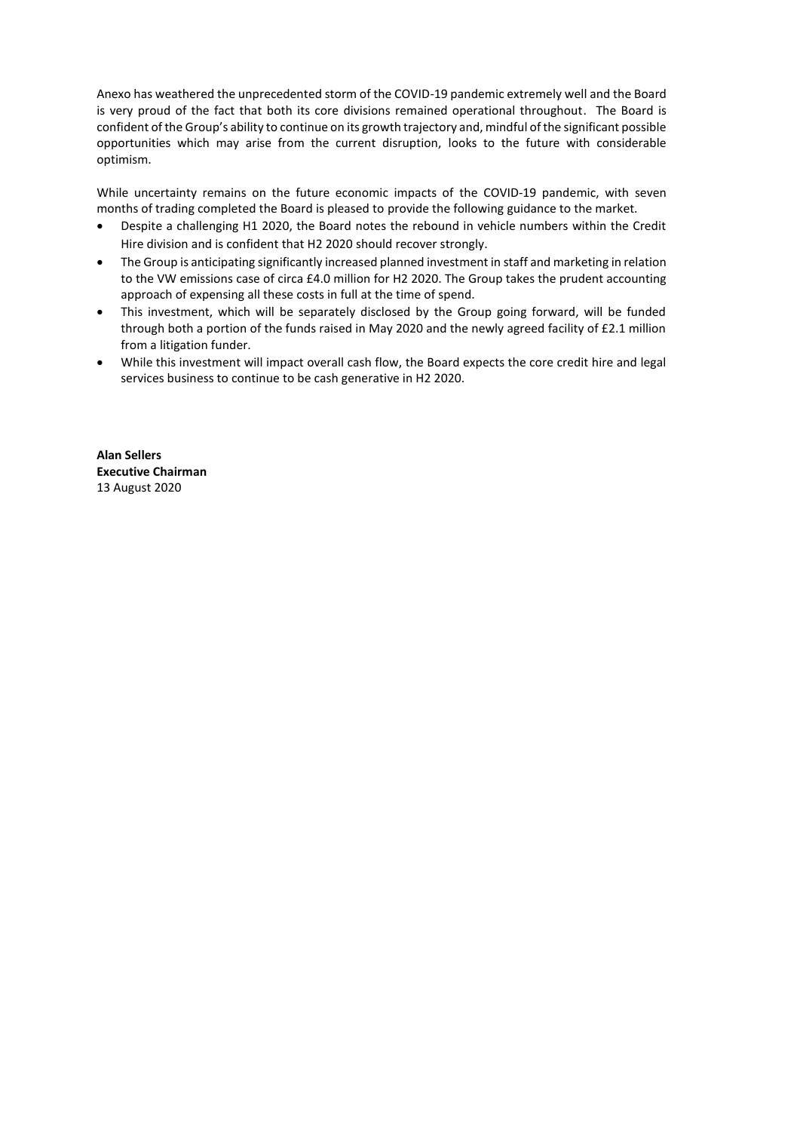Anexo has weathered the unprecedented storm of the COVID-19 pandemic extremely well and the Board is very proud of the fact that both its core divisions remained operational throughout. The Board is confident of the Group's ability to continue on its growth trajectory and, mindful of the significant possible opportunities which may arise from the current disruption, looks to the future with considerable optimism.

While uncertainty remains on the future economic impacts of the COVID-19 pandemic, with seven months of trading completed the Board is pleased to provide the following guidance to the market.

- Despite a challenging H1 2020, the Board notes the rebound in vehicle numbers within the Credit Hire division and is confident that H2 2020 should recover strongly.
- The Group is anticipating significantly increased planned investment in staff and marketing in relation to the VW emissions case of circa £4.0 million for H2 2020. The Group takes the prudent accounting approach of expensing all these costs in full at the time of spend.
- This investment, which will be separately disclosed by the Group going forward, will be funded through both a portion of the funds raised in May 2020 and the newly agreed facility of £2.1 million from a litigation funder.
- While this investment will impact overall cash flow, the Board expects the core credit hire and legal services business to continue to be cash generative in H2 2020.

**Alan Sellers Executive Chairman** 13 August 2020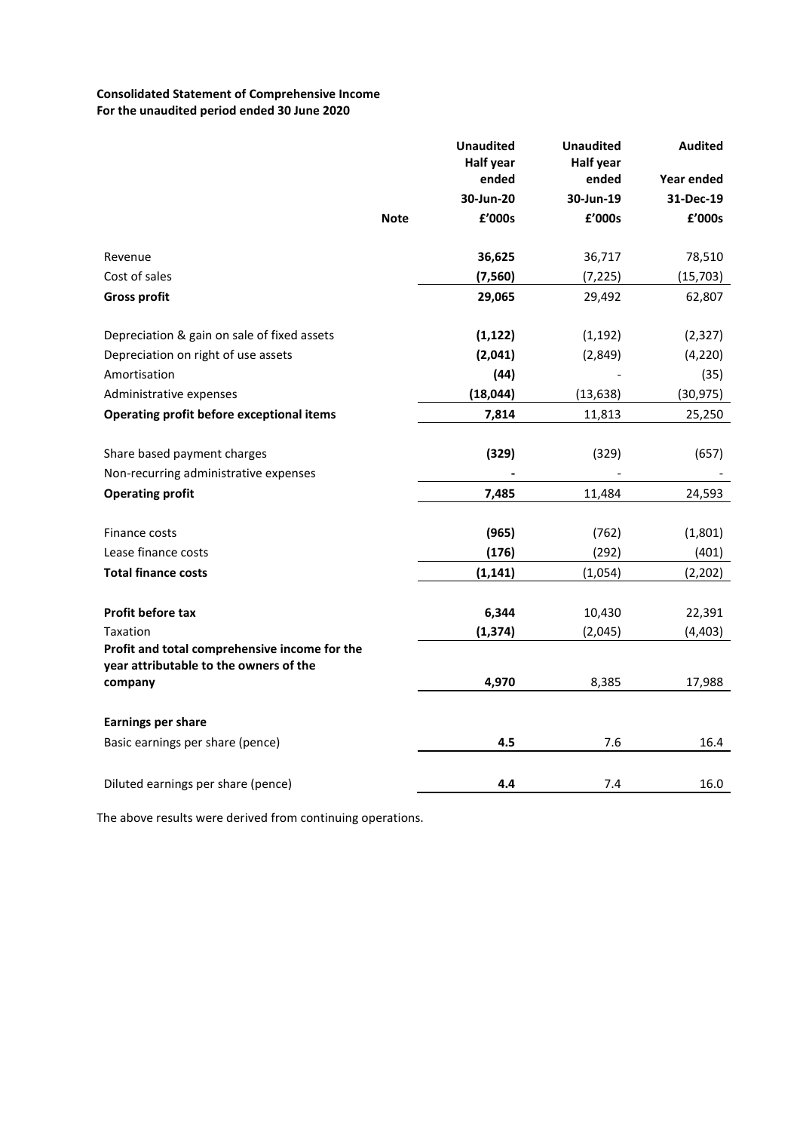# **Consolidated Statement of Comprehensive Income For the unaudited period ended 30 June 2020**

|                                                                                                     | <b>Unaudited</b><br><b>Half year</b><br>ended | <b>Unaudited</b><br><b>Half year</b><br>ended | <b>Audited</b><br>Year ended |
|-----------------------------------------------------------------------------------------------------|-----------------------------------------------|-----------------------------------------------|------------------------------|
|                                                                                                     | 30-Jun-20                                     | 30-Jun-19                                     | 31-Dec-19                    |
|                                                                                                     | £'000s<br><b>Note</b>                         | £'000s                                        | £'000s                       |
| Revenue                                                                                             | 36,625                                        | 36,717                                        | 78,510                       |
| Cost of sales                                                                                       | (7, 560)                                      | (7, 225)                                      | (15, 703)                    |
| <b>Gross profit</b>                                                                                 | 29,065                                        | 29,492                                        | 62,807                       |
| Depreciation & gain on sale of fixed assets                                                         | (1, 122)                                      | (1, 192)                                      | (2, 327)                     |
| Depreciation on right of use assets                                                                 | (2,041)                                       | (2,849)                                       | (4, 220)                     |
| Amortisation                                                                                        | (44)                                          |                                               | (35)                         |
| Administrative expenses                                                                             | (18, 044)                                     | (13, 638)                                     | (30,975)                     |
| Operating profit before exceptional items                                                           | 7,814                                         | 11,813                                        | 25,250                       |
| Share based payment charges                                                                         | (329)                                         | (329)                                         | (657)                        |
| Non-recurring administrative expenses                                                               |                                               |                                               |                              |
| <b>Operating profit</b>                                                                             | 7,485                                         | 11,484                                        | 24,593                       |
| Finance costs                                                                                       | (965)                                         | (762)                                         | (1,801)                      |
| Lease finance costs                                                                                 | (176)                                         | (292)                                         | (401)                        |
| <b>Total finance costs</b>                                                                          | (1, 141)                                      | (1,054)                                       | (2, 202)                     |
| Profit before tax                                                                                   | 6,344                                         |                                               |                              |
|                                                                                                     |                                               | 10,430                                        | 22,391                       |
| Taxation<br>Profit and total comprehensive income for the<br>year attributable to the owners of the | (1, 374)                                      | (2,045)                                       | (4, 403)                     |
| company                                                                                             | 4,970                                         | 8,385                                         | 17,988                       |
| <b>Earnings per share</b>                                                                           |                                               |                                               |                              |
| Basic earnings per share (pence)                                                                    | 4.5                                           | 7.6                                           | 16.4                         |
| Diluted earnings per share (pence)                                                                  | 4.4                                           | 7.4                                           | 16.0                         |

The above results were derived from continuing operations.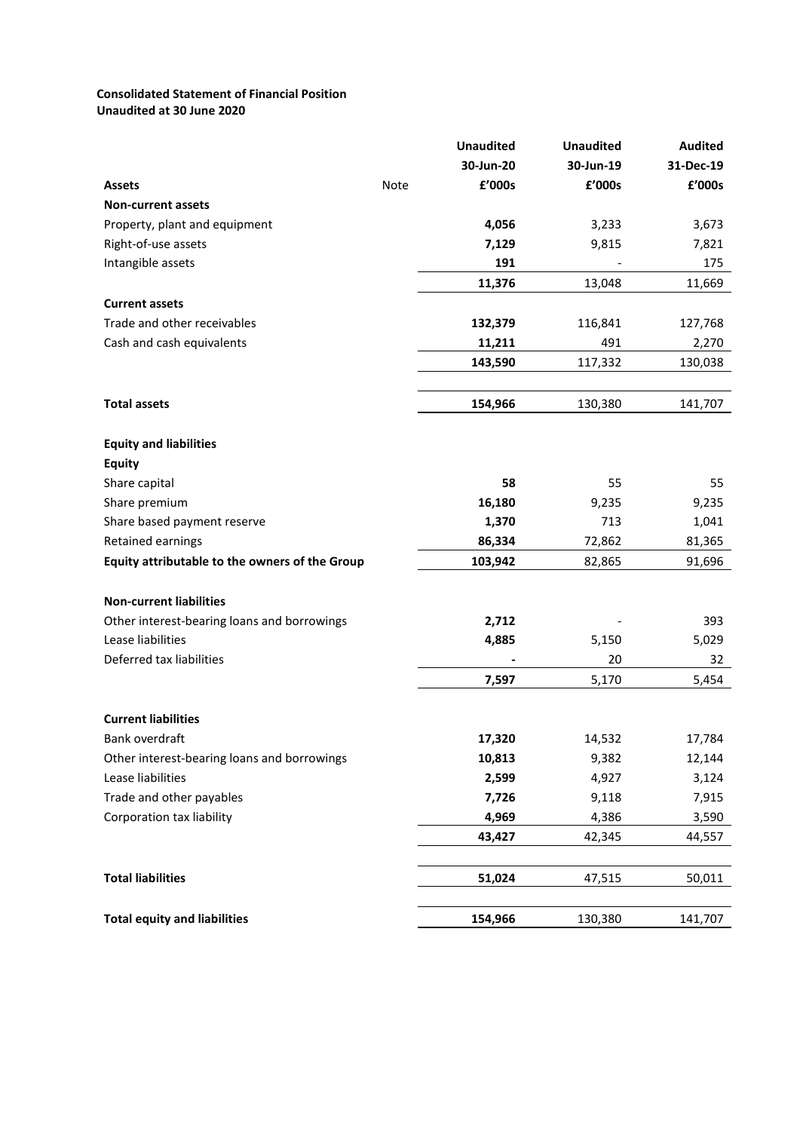## **Consolidated Statement of Financial Position Unaudited at 30 June 2020**

|                                                |             | <b>Unaudited</b> | <b>Unaudited</b> | <b>Audited</b> |
|------------------------------------------------|-------------|------------------|------------------|----------------|
|                                                |             | 30-Jun-20        | 30-Jun-19        | 31-Dec-19      |
| <b>Assets</b>                                  | <b>Note</b> | £'000s           | £'000s           | £'000s         |
| <b>Non-current assets</b>                      |             |                  |                  |                |
| Property, plant and equipment                  |             | 4,056            | 3,233            | 3,673          |
| Right-of-use assets                            |             | 7,129            | 9,815            | 7,821          |
| Intangible assets                              |             | 191              |                  | 175            |
|                                                |             | 11,376           | 13,048           | 11,669         |
| <b>Current assets</b>                          |             |                  |                  |                |
| Trade and other receivables                    |             | 132,379          | 116,841          | 127,768        |
| Cash and cash equivalents                      |             | 11,211           | 491              | 2,270          |
|                                                |             | 143,590          | 117,332          | 130,038        |
| <b>Total assets</b>                            |             | 154,966          | 130,380          | 141,707        |
| <b>Equity and liabilities</b>                  |             |                  |                  |                |
| <b>Equity</b>                                  |             |                  |                  |                |
| Share capital                                  |             | 58               | 55               | 55             |
| Share premium                                  |             | 16,180           | 9,235            | 9,235          |
| Share based payment reserve                    |             | 1,370            | 713              | 1,041          |
| Retained earnings                              |             | 86,334           | 72,862           | 81,365         |
| Equity attributable to the owners of the Group |             | 103,942          | 82,865           | 91,696         |
| <b>Non-current liabilities</b>                 |             |                  |                  |                |
| Other interest-bearing loans and borrowings    |             | 2,712            |                  | 393            |
| Lease liabilities                              |             | 4,885            | 5,150            | 5,029          |
| Deferred tax liabilities                       |             |                  | 20               | 32             |
|                                                |             | 7,597            | 5,170            | 5,454          |
| <b>Current liabilities</b>                     |             |                  |                  |                |
| Bank overdraft                                 |             | 17,320           | 14,532           | 17,784         |
| Other interest-bearing loans and borrowings    |             | 10,813           | 9,382            | 12,144         |
| Lease liabilities                              |             | 2,599            | 4,927            | 3,124          |
| Trade and other payables                       |             | 7,726            | 9,118            | 7,915          |
| Corporation tax liability                      |             | 4,969            | 4,386            | 3,590          |
|                                                |             | 43,427           | 42,345           | 44,557         |
| <b>Total liabilities</b>                       |             | 51,024           | 47,515           | 50,011         |
| <b>Total equity and liabilities</b>            |             | 154,966          | 130,380          | 141,707        |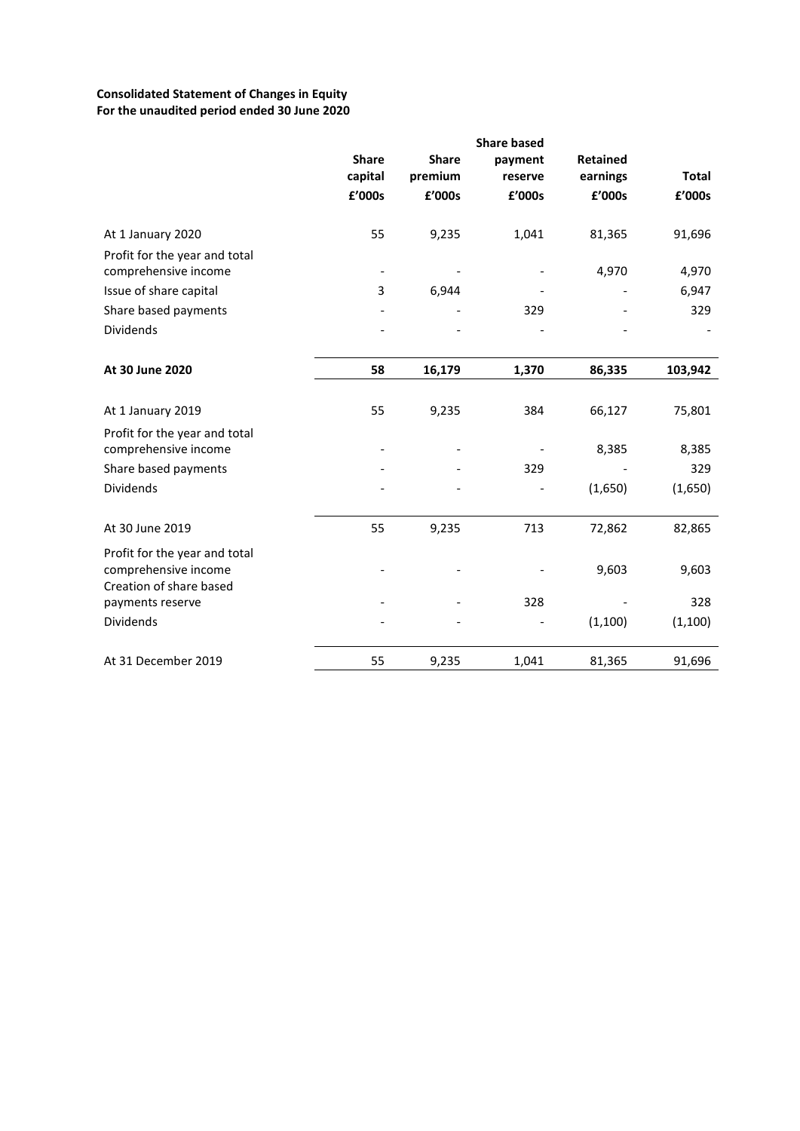# **Consolidated Statement of Changes in Equity For the unaudited period ended 30 June 2020**

|                                                                                  |                          |              | <b>Share based</b> |                 |              |
|----------------------------------------------------------------------------------|--------------------------|--------------|--------------------|-----------------|--------------|
|                                                                                  | <b>Share</b>             | <b>Share</b> | payment            | <b>Retained</b> |              |
|                                                                                  | capital                  | premium      | reserve            | earnings        | <b>Total</b> |
|                                                                                  | £'000s                   | £'000s       | £'000s             | £'000s          | £'000s       |
| At 1 January 2020                                                                | 55                       | 9,235        | 1,041              | 81,365          | 91,696       |
| Profit for the year and total<br>comprehensive income                            | $\overline{\phantom{a}}$ |              |                    | 4,970           | 4,970        |
| Issue of share capital                                                           | 3                        | 6,944        |                    |                 | 6,947        |
| Share based payments                                                             |                          |              | 329                |                 | 329          |
| Dividends                                                                        |                          |              |                    |                 |              |
| At 30 June 2020                                                                  | 58                       | 16,179       | 1,370              | 86,335          | 103,942      |
|                                                                                  |                          |              |                    |                 |              |
| At 1 January 2019                                                                | 55                       | 9,235        | 384                | 66,127          | 75,801       |
| Profit for the year and total<br>comprehensive income                            |                          |              |                    | 8,385           | 8,385        |
| Share based payments                                                             |                          |              | 329                |                 | 329          |
| Dividends                                                                        |                          |              |                    | (1,650)         | (1,650)      |
| At 30 June 2019                                                                  | 55                       | 9,235        | 713                | 72,862          | 82,865       |
| Profit for the year and total<br>comprehensive income<br>Creation of share based |                          |              |                    | 9,603           | 9,603        |
| payments reserve                                                                 |                          |              | 328                |                 | 328          |
| Dividends                                                                        |                          |              |                    | (1, 100)        | (1, 100)     |
| At 31 December 2019                                                              | 55                       | 9,235        | 1,041              | 81,365          | 91,696       |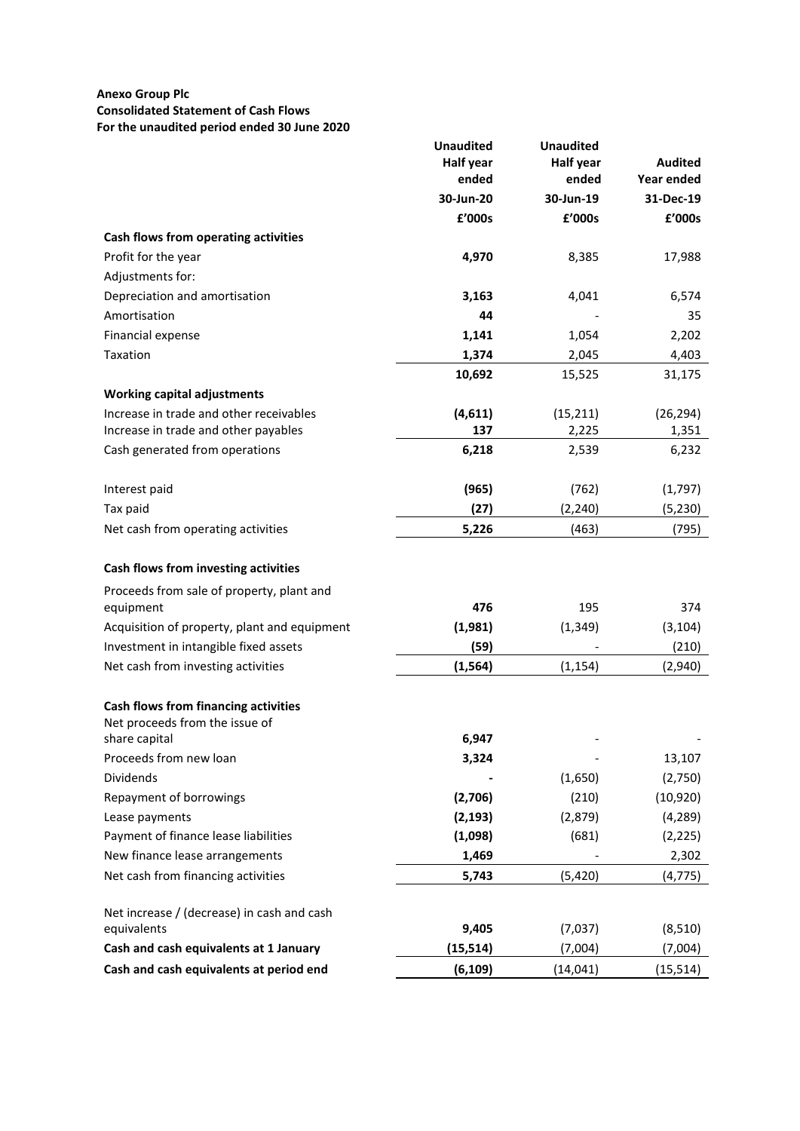## **Anexo Group Plc Consolidated Statement of Cash Flows For the unaudited period ended 30 June 2020**

|                                              | <b>Unaudited</b>          | <b>Unaudited</b>          |                              |
|----------------------------------------------|---------------------------|---------------------------|------------------------------|
|                                              | <b>Half year</b><br>ended | <b>Half year</b><br>ended | <b>Audited</b><br>Year ended |
|                                              | 30-Jun-20                 | 30-Jun-19                 | 31-Dec-19                    |
|                                              | £'000s                    | £'000s                    | £'000s                       |
|                                              |                           |                           |                              |
| Cash flows from operating activities         |                           |                           |                              |
| Profit for the year                          | 4,970                     | 8,385                     | 17,988                       |
| Adjustments for:                             |                           |                           |                              |
| Depreciation and amortisation                | 3,163                     | 4,041                     | 6,574                        |
| Amortisation                                 | 44                        |                           | 35                           |
| <b>Financial expense</b>                     | 1,141                     | 1,054                     | 2,202                        |
| Taxation                                     | 1,374                     | 2,045                     | 4,403                        |
|                                              | 10,692                    | 15,525                    | 31,175                       |
| <b>Working capital adjustments</b>           |                           |                           |                              |
| Increase in trade and other receivables      | (4,611)                   | (15, 211)                 | (26, 294)                    |
| Increase in trade and other payables         | 137                       | 2,225                     | 1,351                        |
| Cash generated from operations               | 6,218                     | 2,539                     | 6,232                        |
|                                              |                           |                           |                              |
| Interest paid                                | (965)                     | (762)                     | (1,797)                      |
| Tax paid                                     | (27)                      | (2, 240)                  | (5, 230)                     |
| Net cash from operating activities           | 5,226                     | (463)                     | (795)                        |
|                                              |                           |                           |                              |
| Cash flows from investing activities         |                           |                           |                              |
| Proceeds from sale of property, plant and    |                           |                           |                              |
| equipment                                    | 476                       | 195                       | 374                          |
| Acquisition of property, plant and equipment | (1,981)                   | (1, 349)                  | (3, 104)                     |
| Investment in intangible fixed assets        | (59)                      |                           | (210)                        |
| Net cash from investing activities           | (1, 564)                  | (1, 154)                  | (2,940)                      |
|                                              |                           |                           |                              |
| Cash flows from financing activities         |                           |                           |                              |
| Net proceeds from the issue of               |                           |                           |                              |
| share capital                                | 6,947                     |                           |                              |
| Proceeds from new loan                       | 3,324                     |                           | 13,107                       |
| <b>Dividends</b>                             |                           | (1,650)                   | (2,750)                      |
| Repayment of borrowings                      | (2,706)                   | (210)                     | (10, 920)                    |
| Lease payments                               | (2, 193)                  | (2,879)                   | (4, 289)                     |
| Payment of finance lease liabilities         | (1,098)                   | (681)                     | (2, 225)                     |
| New finance lease arrangements               | 1,469                     |                           | 2,302                        |
| Net cash from financing activities           | 5,743                     | (5, 420)                  | (4,775)                      |
|                                              |                           |                           |                              |
| Net increase / (decrease) in cash and cash   |                           |                           |                              |
| equivalents                                  | 9,405                     | (7,037)                   | (8,510)                      |
| Cash and cash equivalents at 1 January       | (15, 514)                 | (7,004)                   | (7,004)                      |
| Cash and cash equivalents at period end      | (6, 109)                  | (14, 041)                 | (15, 514)                    |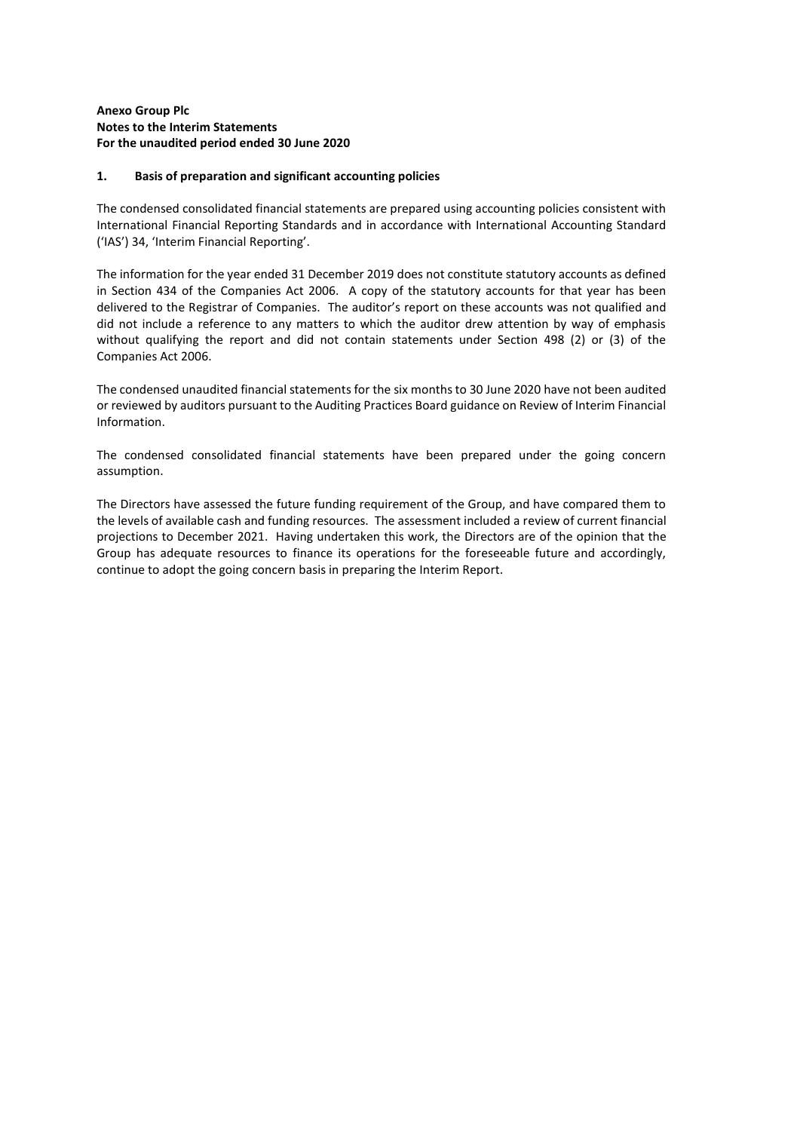## **Anexo Group Plc Notes to the Interim Statements For the unaudited period ended 30 June 2020**

### **1. Basis of preparation and significant accounting policies**

The condensed consolidated financial statements are prepared using accounting policies consistent with International Financial Reporting Standards and in accordance with International Accounting Standard ('IAS') 34, 'Interim Financial Reporting'.

The information for the year ended 31 December 2019 does not constitute statutory accounts as defined in Section 434 of the Companies Act 2006. A copy of the statutory accounts for that year has been delivered to the Registrar of Companies. The auditor's report on these accounts was not qualified and did not include a reference to any matters to which the auditor drew attention by way of emphasis without qualifying the report and did not contain statements under Section 498 (2) or (3) of the Companies Act 2006.

The condensed unaudited financial statements for the six months to 30 June 2020 have not been audited or reviewed by auditors pursuant to the Auditing Practices Board guidance on Review of Interim Financial Information.

The condensed consolidated financial statements have been prepared under the going concern assumption.

The Directors have assessed the future funding requirement of the Group, and have compared them to the levels of available cash and funding resources. The assessment included a review of current financial projections to December 2021. Having undertaken this work, the Directors are of the opinion that the Group has adequate resources to finance its operations for the foreseeable future and accordingly, continue to adopt the going concern basis in preparing the Interim Report.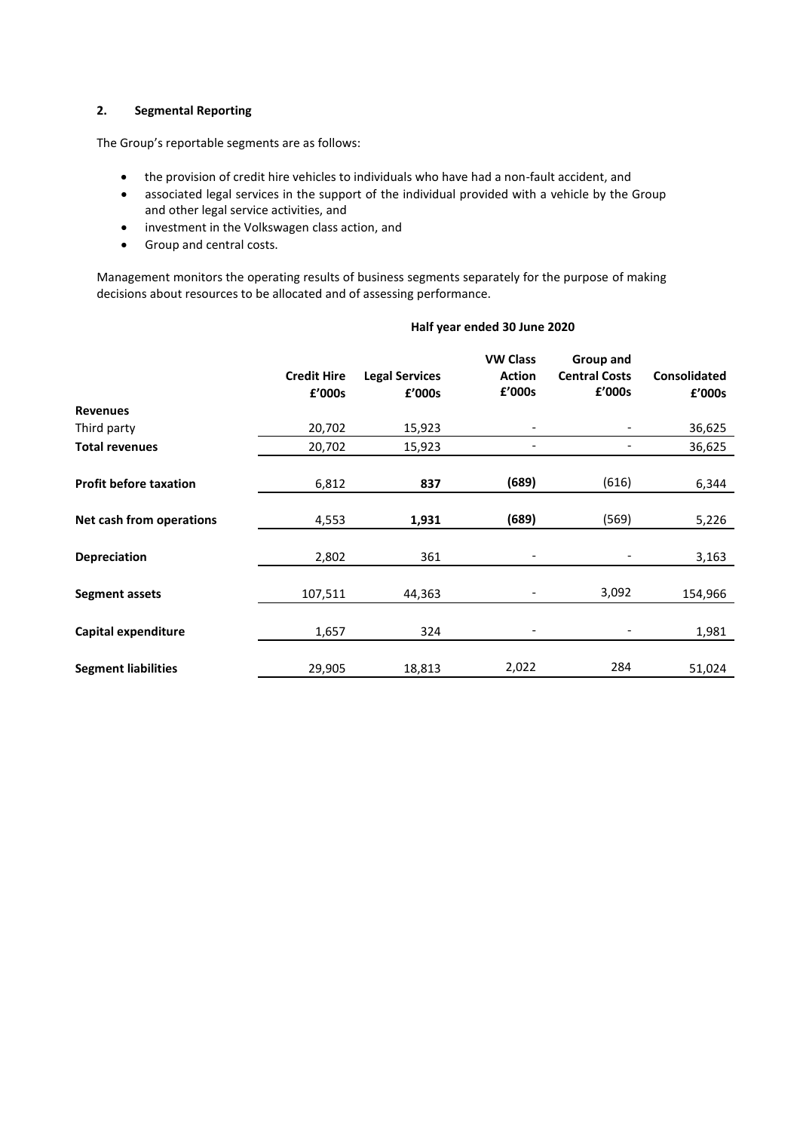## **2. Segmental Reporting**

The Group's reportable segments are as follows:

- the provision of credit hire vehicles to individuals who have had a non-fault accident, and
- associated legal services in the support of the individual provided with a vehicle by the Group and other legal service activities, and
- investment in the Volkswagen class action, and
- Group and central costs.

Management monitors the operating results of business segments separately for the purpose of making decisions about resources to be allocated and of assessing performance.

| Half year ended 30 June 2020 |
|------------------------------|
|------------------------------|

|                               | <b>Credit Hire</b> | <b>Legal Services</b> | <b>VW Class</b><br><b>Action</b><br>£'000s | Group and<br><b>Central Costs</b><br>£'000s | <b>Consolidated</b> |
|-------------------------------|--------------------|-----------------------|--------------------------------------------|---------------------------------------------|---------------------|
| <b>Revenues</b>               | £'000s             | £'000s                |                                            |                                             | £'000s              |
| Third party                   | 20,702             | 15,923                |                                            |                                             | 36,625              |
| <b>Total revenues</b>         | 20,702             | 15,923                |                                            |                                             | 36,625              |
| <b>Profit before taxation</b> | 6,812              | 837                   | (689)                                      | (616)                                       | 6,344               |
| Net cash from operations      | 4,553              | 1,931                 | (689)                                      | (569)                                       | 5,226               |
| <b>Depreciation</b>           | 2,802              | 361                   |                                            |                                             | 3,163               |
| <b>Segment assets</b>         | 107,511            | 44,363                |                                            | 3,092                                       | 154,966             |
| Capital expenditure           | 1,657              | 324                   |                                            |                                             | 1,981               |
| <b>Segment liabilities</b>    | 29,905             | 18,813                | 2,022                                      | 284                                         | 51,024              |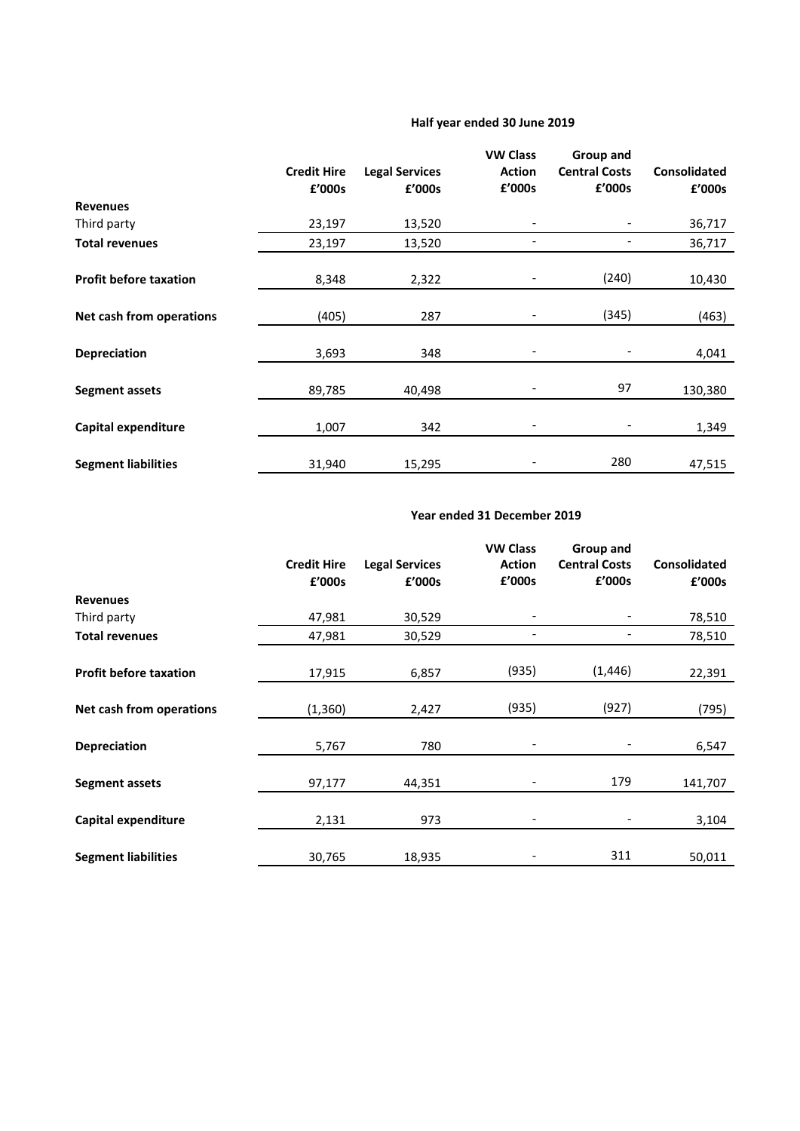# **Half year ended 30 June 2019**

|                               | <b>Credit Hire</b><br>£'000s | <b>Legal Services</b><br>£'000s | <b>VW Class</b><br><b>Action</b><br>£'000s | Group and<br><b>Central Costs</b><br>£'000s | <b>Consolidated</b><br>£'000s |
|-------------------------------|------------------------------|---------------------------------|--------------------------------------------|---------------------------------------------|-------------------------------|
| <b>Revenues</b>               |                              |                                 |                                            |                                             |                               |
| Third party                   | 23,197                       | 13,520                          |                                            |                                             | 36,717                        |
| <b>Total revenues</b>         | 23,197                       | 13,520                          |                                            |                                             | 36,717                        |
| <b>Profit before taxation</b> | 8,348                        | 2,322                           |                                            | (240)                                       | 10,430                        |
| Net cash from operations      | (405)                        | 287                             |                                            | (345)                                       | (463)                         |
| <b>Depreciation</b>           | 3,693                        | 348                             |                                            |                                             | 4,041                         |
| <b>Segment assets</b>         | 89,785                       | 40,498                          |                                            | 97                                          | 130,380                       |
| Capital expenditure           | 1,007                        | 342                             |                                            |                                             | 1,349                         |
| <b>Segment liabilities</b>    | 31,940                       | 15,295                          |                                            | 280                                         | 47,515                        |

# **Year ended 31 December 2019**

|                               | <b>Credit Hire</b><br>£'000s | <b>Legal Services</b><br>£'000s | <b>VW Class</b><br><b>Action</b><br>£'000s | Group and<br><b>Central Costs</b><br>£'000s | <b>Consolidated</b><br>£'000s |
|-------------------------------|------------------------------|---------------------------------|--------------------------------------------|---------------------------------------------|-------------------------------|
| <b>Revenues</b>               |                              |                                 |                                            |                                             |                               |
| Third party                   | 47,981                       | 30,529                          | $\qquad \qquad \blacksquare$               |                                             | 78,510                        |
| <b>Total revenues</b>         | 47,981                       | 30,529                          |                                            |                                             | 78,510                        |
| <b>Profit before taxation</b> | 17,915                       | 6,857                           | (935)                                      | (1, 446)                                    | 22,391                        |
| Net cash from operations      | (1, 360)                     | 2,427                           | (935)                                      | (927)                                       | (795)                         |
| <b>Depreciation</b>           | 5,767                        | 780                             |                                            |                                             | 6,547                         |
| <b>Segment assets</b>         | 97,177                       | 44,351                          | $\qquad \qquad \blacksquare$               | 179                                         | 141,707                       |
| Capital expenditure           | 2,131                        | 973                             |                                            |                                             | 3,104                         |
| <b>Segment liabilities</b>    | 30,765                       | 18,935                          |                                            | 311                                         | 50,011                        |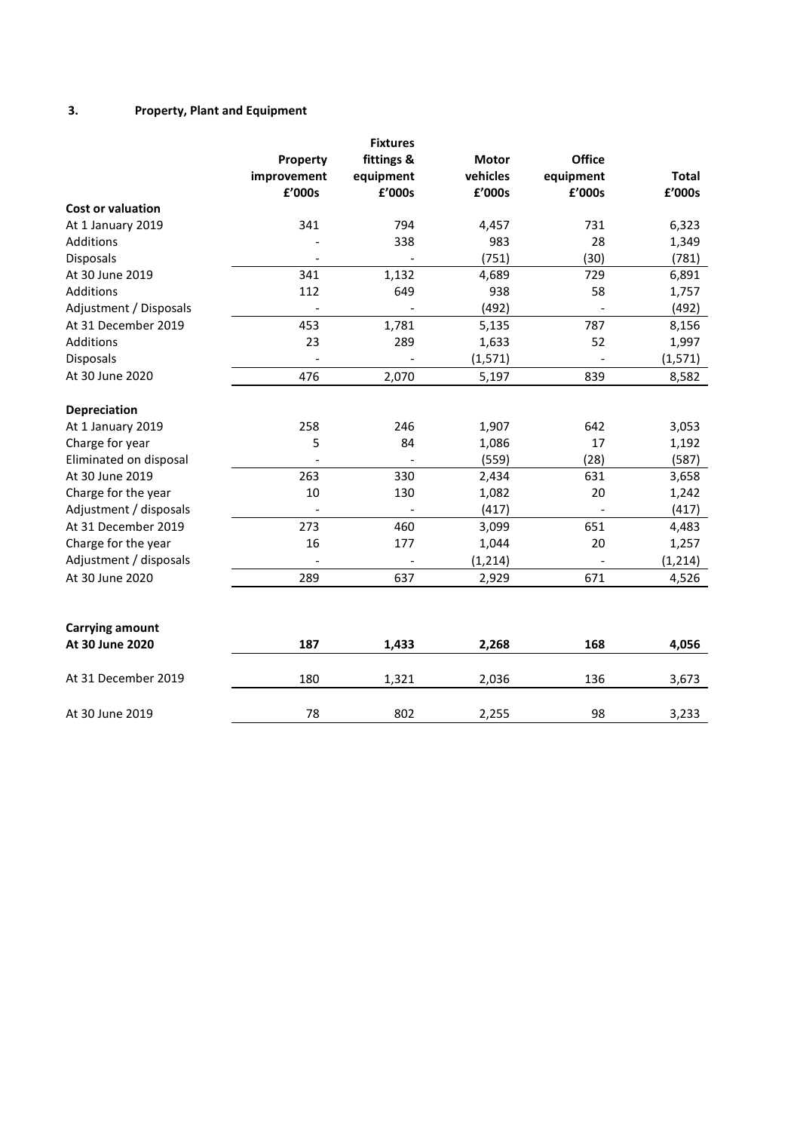# **3. Property, Plant and Equipment**

|                          | Property<br>improvement<br>£'000s | <b>Fixtures</b><br>fittings &<br>equipment<br>£'000s | <b>Motor</b><br>vehicles<br>£'000s | <b>Office</b><br>equipment<br>£'000s | <b>Total</b><br>£'000s |
|--------------------------|-----------------------------------|------------------------------------------------------|------------------------------------|--------------------------------------|------------------------|
| <b>Cost or valuation</b> |                                   |                                                      |                                    |                                      |                        |
| At 1 January 2019        | 341                               | 794                                                  | 4,457                              | 731                                  | 6,323                  |
| <b>Additions</b>         |                                   | 338                                                  | 983                                | 28                                   | 1,349                  |
| Disposals                |                                   |                                                      | (751)                              | (30)                                 | (781)                  |
| At 30 June 2019          | 341                               | 1,132                                                | 4,689                              | 729                                  | 6,891                  |
| Additions                | 112                               | 649                                                  | 938                                | 58                                   | 1,757                  |
| Adjustment / Disposals   |                                   |                                                      | (492)                              |                                      | (492)                  |
| At 31 December 2019      | 453                               | 1,781                                                | 5,135                              | 787                                  | 8,156                  |
| Additions                | 23                                | 289                                                  | 1,633                              | 52                                   | 1,997                  |
| <b>Disposals</b>         |                                   |                                                      | (1, 571)                           |                                      | (1, 571)               |
| At 30 June 2020          | 476                               | 2,070                                                | 5,197                              | 839                                  | 8,582                  |
| Depreciation             |                                   |                                                      |                                    |                                      |                        |
| At 1 January 2019        | 258                               | 246                                                  | 1,907                              | 642                                  | 3,053                  |
| Charge for year          | 5                                 | 84                                                   | 1,086                              | 17                                   | 1,192                  |
| Eliminated on disposal   |                                   |                                                      | (559)                              | (28)                                 | (587)                  |
| At 30 June 2019          | 263                               | 330                                                  | 2,434                              | 631                                  | 3,658                  |
| Charge for the year      | 10                                | 130                                                  | 1,082                              | 20                                   | 1,242                  |
| Adjustment / disposals   | $\overline{a}$                    |                                                      | (417)                              |                                      | (417)                  |
| At 31 December 2019      | 273                               | 460                                                  | 3,099                              | 651                                  | 4,483                  |
| Charge for the year      | 16                                | 177                                                  | 1,044                              | 20                                   | 1,257                  |
| Adjustment / disposals   |                                   |                                                      | (1, 214)                           |                                      | (1, 214)               |
| At 30 June 2020          | 289                               | 637                                                  | 2,929                              | 671                                  | 4,526                  |
| <b>Carrying amount</b>   |                                   |                                                      |                                    |                                      |                        |
| At 30 June 2020          | 187                               | 1,433                                                | 2,268                              | 168                                  | 4,056                  |
| At 31 December 2019      | 180                               | 1,321                                                | 2,036                              | 136                                  | 3,673                  |
| At 30 June 2019          | 78                                | 802                                                  | 2,255                              | 98                                   | 3,233                  |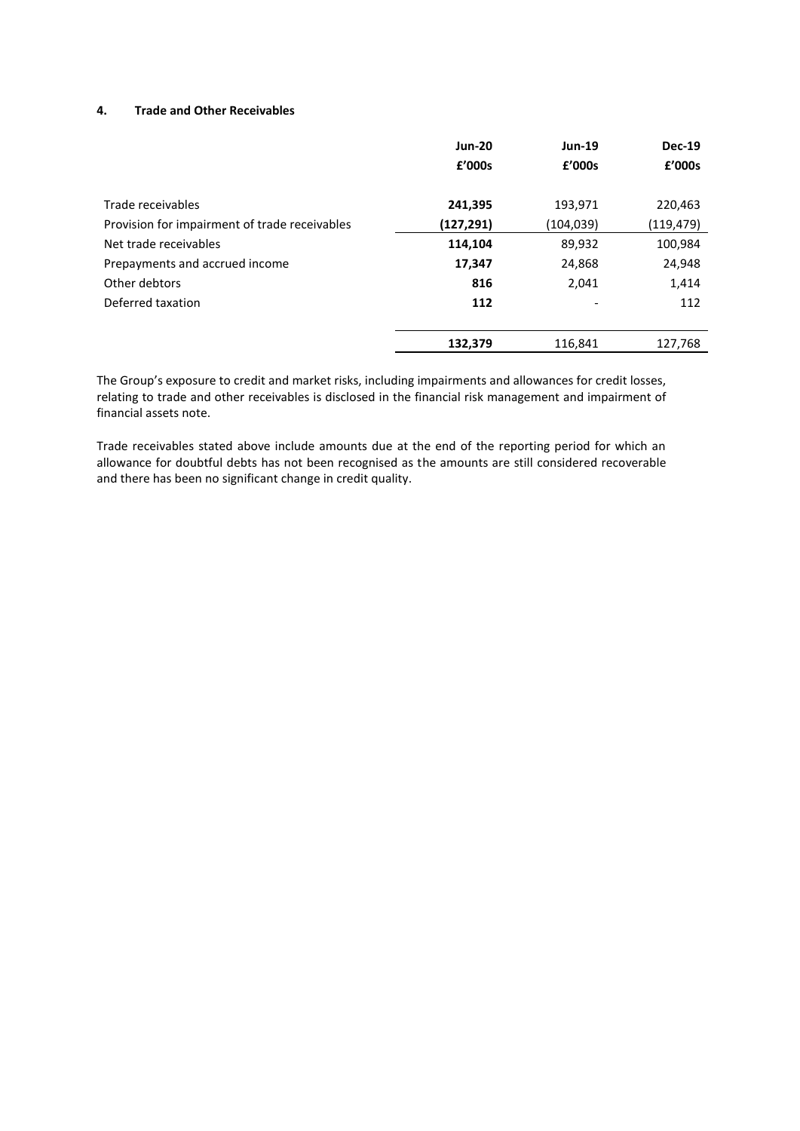## **4. Trade and Other Receivables**

|                                               | <b>Jun-20</b> | <b>Jun-19</b> | <b>Dec-19</b> |
|-----------------------------------------------|---------------|---------------|---------------|
|                                               | £'000s        | £'000s        | £'000s        |
| Trade receivables                             | 241,395       | 193,971       | 220,463       |
| Provision for impairment of trade receivables | (127, 291)    | (104,039)     | (119,479)     |
| Net trade receivables                         | 114,104       | 89,932        | 100,984       |
| Prepayments and accrued income                | 17,347        | 24,868        | 24,948        |
| Other debtors                                 | 816           | 2,041         | 1,414         |
| Deferred taxation                             | 112           |               | 112           |
|                                               | 132,379       | 116,841       | 127,768       |

The Group's exposure to credit and market risks, including impairments and allowances for credit losses, relating to trade and other receivables is disclosed in the financial risk management and impairment of financial assets note.

Trade receivables stated above include amounts due at the end of the reporting period for which an allowance for doubtful debts has not been recognised as the amounts are still considered recoverable and there has been no significant change in credit quality.